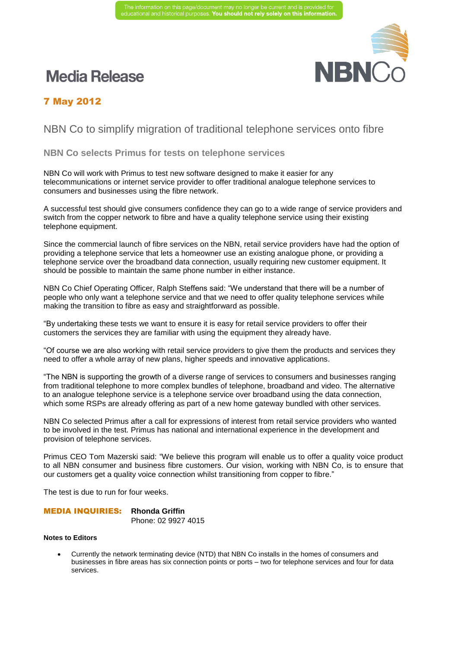# **Media Release**



## 7 May 2012

## NBN Co to simplify migration of traditional telephone services onto fibre

### **NBN Co selects Primus for tests on telephone services**

NBN Co will work with Primus to test new software designed to make it easier for any telecommunications or internet service provider to offer traditional analogue telephone services to consumers and businesses using the fibre network.

A successful test should give consumers confidence they can go to a wide range of service providers and switch from the copper network to fibre and have a quality telephone service using their existing telephone equipment.

Since the commercial launch of fibre services on the NBN, retail service providers have had the option of providing a telephone service that lets a homeowner use an existing analogue phone, or providing a telephone service over the broadband data connection, usually requiring new customer equipment. It should be possible to maintain the same phone number in either instance.

NBN Co Chief Operating Officer, Ralph Steffens said: "We understand that there will be a number of people who only want a telephone service and that we need to offer quality telephone services while making the transition to fibre as easy and straightforward as possible.

"By undertaking these tests we want to ensure it is easy for retail service providers to offer their customers the services they are familiar with using the equipment they already have.

"Of course we are also working with retail service providers to give them the products and services they need to offer a whole array of new plans, higher speeds and innovative applications.

"The NBN is supporting the growth of a diverse range of services to consumers and businesses ranging from traditional telephone to more complex bundles of telephone, broadband and video. The alternative to an analogue telephone service is a telephone service over broadband using the data connection, which some RSPs are already offering as part of a new home gateway bundled with other services.

NBN Co selected Primus after a call for expressions of interest from retail service providers who wanted to be involved in the test. Primus has national and international experience in the development and provision of telephone services.

Primus CEO Tom Mazerski said: "We believe this program will enable us to offer a quality voice product to all NBN consumer and business fibre customers. Our vision, working with NBN Co, is to ensure that our customers get a quality voice connection whilst transitioning from copper to fibre."

The test is due to run for four weeks.

## MEDIA INQUIRIES: **Rhonda Griffin**

Phone: 02 9927 4015

#### **Notes to Editors**

 Currently the network terminating device (NTD) that NBN Co installs in the homes of consumers and businesses in fibre areas has six connection points or ports – two for telephone services and four for data services.